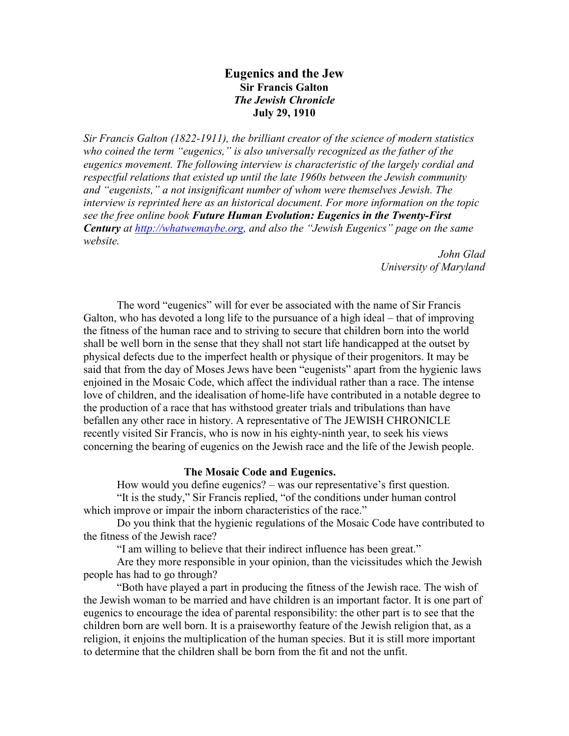# **Eugenics and the Jew Sir Francis Galton** *The Jewish Chronicle* **July 29, 1910**

*Sir Francis Galton (1822-1911), the brilliant creator of the science of modern statistics who coined the term "eugenics," is also universally recognized as the father of the eugenics movement. The following interview is characteristic of the largely cordial and respectful relations that existed up until the late 1960s between the Jewish community and "eugenists," a not insignificant number of whom were themselves Jewish. The interview is reprinted here as an historical document. For more information on the topic see the free online book Future Human Evolution: Eugenics in the Twenty-First Century at http://whatwemaybe.org, and also the "Jewish Eugenics" page on the same website.*

> *John Glad University of Maryland*

The word "eugenics" will for ever be associated with the name of Sir Francis Galton, who has devoted a long life to the pursuance of a high ideal – that of improving the fitness of the human race and to striving to secure that children born into the world shall be well born in the sense that they shall not start life handicapped at the outset by physical defects due to the imperfect health or physique of their progenitors. It may be said that from the day of Moses Jews have been "eugenists" apart from the hygienic laws enjoined in the Mosaic Code, which affect the individual rather than a race. The intense love of children, and the idealisation of home-life have contributed in a notable degree to the production of a race that has withstood greater trials and tribulations than have befallen any other race in history. A representative of The JEWISH CHRONICLE recently visited Sir Francis, who is now in his eighty-ninth year, to seek his views concerning the bearing of eugenics on the Jewish race and the life of the Jewish people.

## **The Mosaic Code and Eugenics.**

How would you define eugenics? – was our representative's first question. "It is the study," Sir Francis replied, "of the conditions under human control which improve or impair the inborn characteristics of the race."

Do you think that the hygienic regulations of the Mosaic Code have contributed to the fitness of the Jewish race?

"I am willing to believe that their indirect influence has been great."

Are they more responsible in your opinion, than the vicissitudes which the Jewish people has had to go through?

"Both have played a part in producing the fitness of the Jewish race. The wish of the Jewish woman to be married and have children is an important factor. It is one part of eugenics to encourage the idea of parental responsibility: the other part is to see that the children born are well born. It is a praiseworthy feature of the Jewish religion that, as a religion, it enjoins the multiplication of the human species. But it is still more important to determine that the children shall be born from the fit and not the unfit.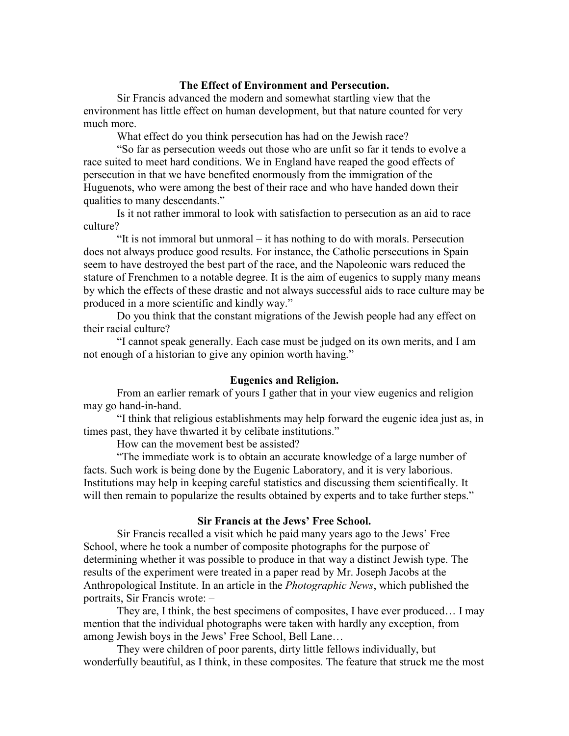### **The Effect of Environment and Persecution.**

Sir Francis advanced the modern and somewhat startling view that the environment has little effect on human development, but that nature counted for very much more.

What effect do you think persecution has had on the Jewish race?

"So far as persecution weeds out those who are unfit so far it tends to evolve a race suited to meet hard conditions. We in England have reaped the good effects of persecution in that we have benefited enormously from the immigration of the Huguenots, who were among the best of their race and who have handed down their qualities to many descendants."

Is it not rather immoral to look with satisfaction to persecution as an aid to race culture?

"It is not immoral but unmoral – it has nothing to do with morals. Persecution does not always produce good results. For instance, the Catholic persecutions in Spain seem to have destroyed the best part of the race, and the Napoleonic wars reduced the stature of Frenchmen to a notable degree. It is the aim of eugenics to supply many means by which the effects of these drastic and not always successful aids to race culture may be produced in a more scientific and kindly way."

Do you think that the constant migrations of the Jewish people had any effect on their racial culture?

"I cannot speak generally. Each case must be judged on its own merits, and I am not enough of a historian to give any opinion worth having."

#### **Eugenics and Religion.**

From an earlier remark of yours I gather that in your view eugenics and religion may go hand-in-hand.

"I think that religious establishments may help forward the eugenic idea just as, in times past, they have thwarted it by celibate institutions."

How can the movement best be assisted?

"The immediate work is to obtain an accurate knowledge of a large number of facts. Such work is being done by the Eugenic Laboratory, and it is very laborious. Institutions may help in keeping careful statistics and discussing them scientifically. It will then remain to popularize the results obtained by experts and to take further steps."

## **Sir Francis at the Jews' Free School.**

Sir Francis recalled a visit which he paid many years ago to the Jews' Free School, where he took a number of composite photographs for the purpose of determining whether it was possible to produce in that way a distinct Jewish type. The results of the experiment were treated in a paper read by Mr. Joseph Jacobs at the Anthropological Institute. In an article in the *Photographic News*, which published the portraits, Sir Francis wrote: –

They are, I think, the best specimens of composites, I have ever produced… I may mention that the individual photographs were taken with hardly any exception, from among Jewish boys in the Jews' Free School, Bell Lane…

They were children of poor parents, dirty little fellows individually, but wonderfully beautiful, as I think, in these composites. The feature that struck me the most